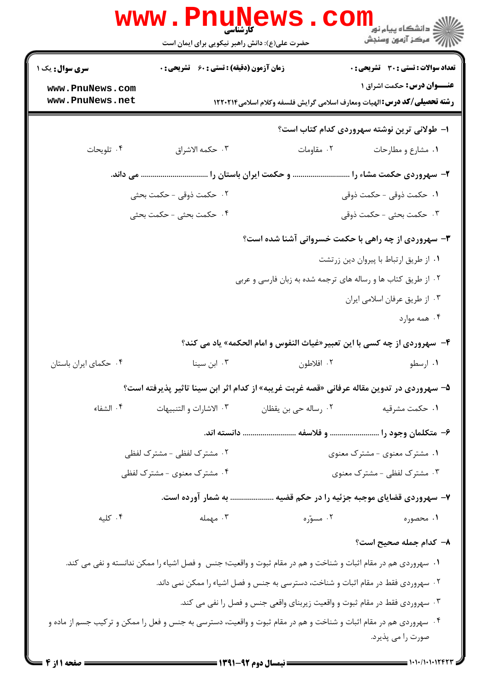|                                                      | <b>www.PnuNews</b><br>حضرت علی(ع): دانش راهبر نیکویی برای ایمان است |                                                                                                                   | ڪ دانشڪاه پيام نور<br><mark>∕</mark> 7 مرڪز آزمون وسنڊش                                                                                                              |
|------------------------------------------------------|---------------------------------------------------------------------|-------------------------------------------------------------------------------------------------------------------|----------------------------------------------------------------------------------------------------------------------------------------------------------------------|
| سری سوال: یک ۱<br>www.PnuNews.com<br>www.PnuNews.net | <b>زمان آزمون (دقیقه) : تستی : 60 ٪ تشریحی : 0</b>                  |                                                                                                                   | <b>تعداد سوالات : تستی : 30 ٪ تشریحی : 0</b><br><b>عنـــوان درس:</b> حکمت اشراق ۱<br><b>رشته تحصیلی/کد درس:</b> الهیات ومعارف اسلامی گرایش فلسفه وکلام اسلامی۱۲۲۰۲۱۴ |
|                                                      |                                                                     |                                                                                                                   | ا– طولانی ترین نوشته سهروردی کدام کتاب است؟                                                                                                                          |
| ۰۴ تلويحات                                           | ۰۳ حكمه الاشراق                                                     | ۰۲ مقاومات                                                                                                        | ۰۱ مشارع و مطارحات                                                                                                                                                   |
|                                                      |                                                                     | ۲– سهروردی حکمت مشاء را  و حکمت ایران باستان را  می داند.                                                         |                                                                                                                                                                      |
|                                                      | ٢. حكمت ذوقى - حكمت بحثى                                            |                                                                                                                   | <mark>1. حكمت ذوقى - حكمت ذوقى</mark>                                                                                                                                |
|                                                      | ۴.  حکمت بحثی – حکمت بحثی                                           |                                                                                                                   | ۰۳ حکمت بحثی - حکمت ذوقی                                                                                                                                             |
|                                                      |                                                                     |                                                                                                                   | ۳- سهروردی از چه راهی با حکمت خسروانی آشنا شده است؟                                                                                                                  |
|                                                      |                                                                     |                                                                                                                   | ٠١ از طريق ارتباط با پيروان دين زرتشت                                                                                                                                |
|                                                      |                                                                     | ۰۲ از طریق کتاب ها و رساله های ترجمه شده به زبان فارسی و عربی                                                     |                                                                                                                                                                      |
|                                                      |                                                                     |                                                                                                                   | ۰۳ از طریق عرفان اسلامی ایران                                                                                                                                        |
|                                                      |                                                                     |                                                                                                                   | ۰۴ همه موارد                                                                                                                                                         |
|                                                      |                                                                     |                                                                                                                   | ۴- سهروردی از چه کسی با این تعبیر«غیاث النفوس و امام الحکمه» یاد می کند؟                                                                                             |
| ۰۴ حکمای ایران باستان                                | ۰۳ ابن سینا                                                         | ۰۲ افلاطون                                                                                                        | ۰۱ ارسطو                                                                                                                                                             |
|                                                      |                                                                     | ۵– سهروردی در تدوین مقاله عرفانی «قصه غربت غریبه» از کدام اثر ابن سینا تاثیر پذیرفته است؟                         |                                                                                                                                                                      |
| ۰۴ الشفاء                                            | ۰۳ الاشارات و التنبيهات                                             | ۰۲ رساله حي بن يقظان                                                                                              | ۰۱ حکمت مشرقیه                                                                                                                                                       |
|                                                      |                                                                     | ۶– متکلمان وجود را  و فلاسفه  دانسته اند.                                                                         |                                                                                                                                                                      |
|                                                      | ۰۲ مشترک لفظی - مشترک لفظی                                          |                                                                                                                   | ۰۱ مشترک معنوی - مشترک معنوی                                                                                                                                         |
|                                                      | ۰۴ مشترک معنوی - مشترک لفظی                                         |                                                                                                                   | ۰۳ مشترک لفظی - مشترک معنوی                                                                                                                                          |
|                                                      | به شمار آورده است.                                                  |                                                                                                                   | ۷- سهروردی قضایای موجبه جزئیه را در حکم قضیه                                                                                                                         |
| ۰۴ کلیه                                              | ۰۳ مهمله                                                            | ۰۲ مسوّره                                                                                                         | ۰۱ محصوره                                                                                                                                                            |
|                                                      |                                                                     |                                                                                                                   | ٨– كدام جمله صحيح است؟                                                                                                                                               |
|                                                      |                                                                     | ۰۱ سهروردی هم در مقام اثبات و شناخت و هم در مقام ثبوت و واقعیت؛ جنس  و فصل اشیاء را ممکن ندانسته و نفی می کند.    |                                                                                                                                                                      |
|                                                      |                                                                     | ۰۲ سهروردی فقط در مقام اثبات و شناخت، دسترسی به جنس و فصل اشیاء را ممکن نمی داند.                                 |                                                                                                                                                                      |
|                                                      |                                                                     | ۰۳ سهروردی فقط در مقام ثبوت و واقعیت زیربنای واقعی جنس و فصل را نفی می کند.                                       |                                                                                                                                                                      |
|                                                      |                                                                     | ۰۴ سهروردی هم در مقام اثبات و شناخت و هم در مقام ثبوت و واقعیت، دسترسی به جنس و فعل را ممکن و ترکیب جسم از ماده و | صورت را می پذیرد.                                                                                                                                                    |
|                                                      |                                                                     | $\frac{1}{2}$ (291-97 and 11 mail $\frac{1}{2}$                                                                   |                                                                                                                                                                      |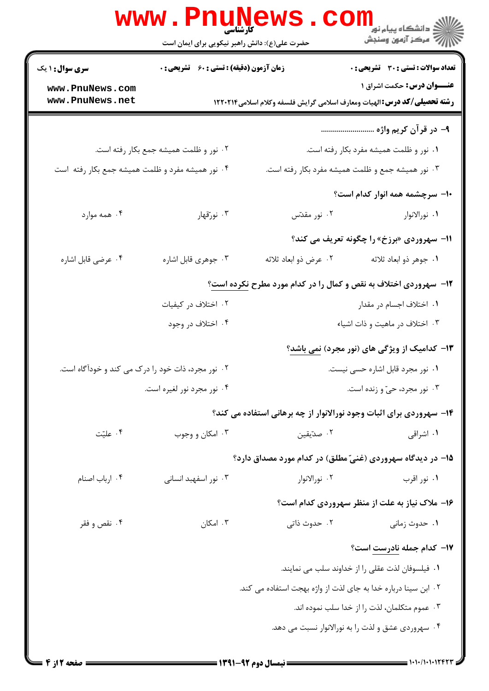|                                                   | حضرت علی(ع): دانش راهبر نیکویی برای ایمان است |                                                                | ري دانشڪاه پيام نور<br>الا = دانشڪاه پيام نور<br>الا = مرڪز آزمون وسنڊش                                              |
|---------------------------------------------------|-----------------------------------------------|----------------------------------------------------------------|----------------------------------------------------------------------------------------------------------------------|
| <b>سری سوال : ۱ یک</b>                            | زمان آزمون (دقیقه) : تستی : 60 ٪ تشریحی : 0   |                                                                | <b>تعداد سوالات : تستی : 30 ٪ تشریحی : 0</b>                                                                         |
| www.PnuNews.com<br>www.PnuNews.net                |                                               |                                                                | <b>عنـــوان درس:</b> حکمت اشراق ۱<br><b>رشته تحصیلی/کد درس:</b> الهیات ومعارف اسلامی گرایش فلسفه وکلام اسلامی۱۲۲۰۲۱۴ |
|                                                   |                                               |                                                                | ۹- در قرآن کریم واژه                                                                                                 |
|                                                   | ۰۲ نور و ظلمت همیشه جمع بکار رفته است.        |                                                                | ۰۱ نور و ظلمت همیشه مفرد بکار رفته است.                                                                              |
| ۰۴ نور همیشه مفرد و ظلمت همیشه جمع بکار رفته است  |                                               |                                                                | ۰۳ نور همیشه جمع و ظلمت همیشه مفرد بکار رفته است.                                                                    |
|                                                   |                                               |                                                                | ۱۰– سرچشمه همه انوار کدام است؟                                                                                       |
| ۰۴ همه موارد                                      | ۰۳ نورتقهار                                   | ۰۲ نور مقدّس                                                   | ٠١. نورالانوار                                                                                                       |
|                                                   |                                               |                                                                | 11- سهروردي «برزخ» را چگونه تعریف می کند؟                                                                            |
| ۰۴ عرضي قابل اشاره                                | ۰۳ جوهري قابل اشاره                           | ۰۲ عرض ذو ابعاد ثلاثه                                          | ۰۱ جوهر ذو ابعاد ثلاثه                                                                                               |
|                                                   |                                               |                                                                | <b>۱۲</b> - سهروردی اختلاف به نقص و کمال را در کدام مورد مطرح <u>نکرده است</u> ؟                                     |
|                                                   | ۰۲ اختلاف در کیفیات                           |                                                                | ۰۱ اختلاف اجسام در مقدار                                                                                             |
|                                                   | ۰۴ اختلاف در وجود                             |                                                                | ۰۳ اختلاف در ماهيت و ذات اشياء                                                                                       |
|                                                   |                                               |                                                                | ۱۳- کدامیک از ویژگی های (نور مجرد) <u>نمی باشد</u> ؟                                                                 |
| ۰۲ نور مجرد، ذات خود را درک می کند و خودآگاه است. |                                               | ٠١ نور مجرد قابل اشاره حسى نيست.                               |                                                                                                                      |
|                                                   | ۰۴ نور مجرد نور لغیره است.                    | ۰۳ نور مجرد، حیّ و زنده است.                                   |                                                                                                                      |
|                                                   |                                               |                                                                | ۱۴- سهروردی برای اثبات وجود نورالانوار از چه برهانی استفاده می کند؟                                                  |
| ۰۴ علیّت                                          | ۰۳ امکان و وجوب                               | ۰۲ صدّیقین                                                     | ۰۱ اشراقی                                                                                                            |
|                                                   |                                               |                                                                | ۱۵– در دیدگاه سهروردی (غنیّ مطلق) در کدام مورد مصداق دارد؟                                                           |
| ۰۴ ارباب اصنام                                    | ۰۳ نور اسفهبد انسانی                          | ۰۲ نورالانوار                                                  | ۰۱ نور اقرب                                                                                                          |
|                                                   |                                               |                                                                | ۱۶- ملاک نیاز به علت از منظر سهروردی کدام است؟                                                                       |
| ۰۴ نقص و فقر                                      | ۰۳ امکان                                      | ۰۲ حدوث ذاتی                                                   | ۰۱ حدوث زمانی                                                                                                        |
|                                                   |                                               |                                                                | ۱۷- کدام جمله نادرست است؟                                                                                            |
|                                                   |                                               |                                                                | ٠١ فيلسوفان لذت عقلي را از خداوند سلب مي نمايند.                                                                     |
|                                                   |                                               | ۰۲ ابن سینا درباره خدا به جای لذت از واژه بهجت استفاده می کند. |                                                                                                                      |
|                                                   |                                               |                                                                | ۰۳ عموم متکلمان، لذت را از خدا سلب نموده اند.                                                                        |
|                                                   |                                               |                                                                | ۰۴ سهروردي عشق و لذت را به نورالانوار نسبت مي دهد.                                                                   |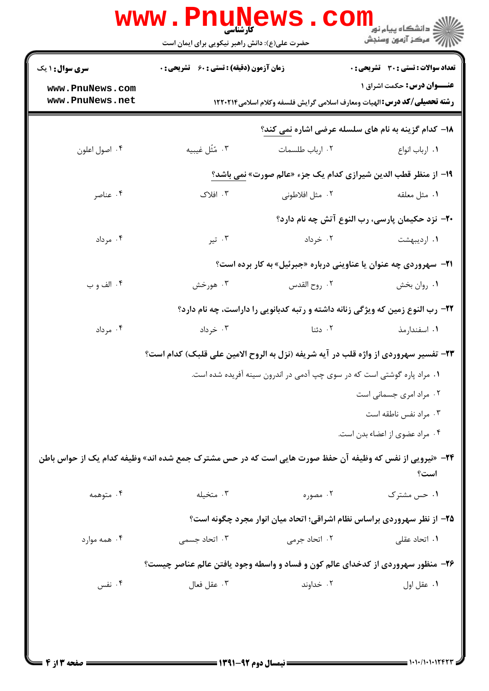|                                                                                     | <b>WWW.Pnunev</b><br>حضرت علی(ع): دانش راهبر نیکویی برای ایمان است                                              |                           | ڪ دانشڪاه پيا <sub>م</sub> نور<br><mark>√</mark> مرڪز آزمون وسنڊش                                                     |  |  |
|-------------------------------------------------------------------------------------|-----------------------------------------------------------------------------------------------------------------|---------------------------|-----------------------------------------------------------------------------------------------------------------------|--|--|
| <b>سری سوال : ۱ یک</b>                                                              | <b>زمان آزمون (دقیقه) : تستی : 60 ٪ تشریحی : 0</b>                                                              |                           | <b>تعداد سوالات : تستی : 30 ٪ تشریحی : 0</b>                                                                          |  |  |
| www.PnuNews.com<br>www.PnuNews.net                                                  |                                                                                                                 |                           | <b>عنـــوان درس:</b> حکمت اشراق ۱<br><b>رشته تحصیلی/کد درس: ا</b> لهیات ومعارف اسلامی گرایش فلسفه وکلام اسلامی1۲۲۰۲۱۴ |  |  |
|                                                                                     |                                                                                                                 |                           | ۱۸- کدام گزینه به نام های سلسله عرضی اشاره نمی کند؟                                                                   |  |  |
| ۰۴ اصول اعلون                                                                       | ۰۳ مُثَل غيبيه                                                                                                  | ۰۲ ارباب طلسمات           | ۰۱ ارباب انواع                                                                                                        |  |  |
|                                                                                     |                                                                                                                 |                           | ۱۹- از منظر قطب الدین شیرازی کدام یک جزء «عالم صورت» نمی باشد؟                                                        |  |  |
| ۰۴ عناصر                                                                            | ۰۳ افلاک                                                                                                        | ۰۲ مثل افلاطونی           | ۰۱ مثل معلقه                                                                                                          |  |  |
|                                                                                     |                                                                                                                 |                           | <b>۲۰</b> - نزد حکیمان پارسی، رب النوع آتش چه نام دارد؟                                                               |  |  |
| ۰۴ مرداد                                                                            | ۰۳ تیر                                                                                                          | ۰۲ خرداد                  | ۰۱ اردیبهشت                                                                                                           |  |  |
|                                                                                     | <b>۲۱</b> - سهروردی چه عنوان یا عناوینی درباره «جبرئیل» به کار برده است؟                                        |                           |                                                                                                                       |  |  |
| ۰۴ الف و ب                                                                          | ۰۳ هورخش                                                                                                        | ۰۲ روح القدس              | ۰۱ روان بخش                                                                                                           |  |  |
|                                                                                     |                                                                                                                 |                           | ۲۲- رب النوع زمین که ویژگی زنانه داشته و رتبه کدبانویی را داراست، چه نام دارد؟                                        |  |  |
| ۰۴ مرداد                                                                            | ۰۳ خرداد                                                                                                        | ۰۲ دئنا                   | ۰۱ اسفندارمذ                                                                                                          |  |  |
| ۲۳- تفسیر سهروردی از واژه قلب در آیه شریفه (نزل به الروح الامین علی قلبک) کدام است؟ |                                                                                                                 |                           |                                                                                                                       |  |  |
| ۰۱ مراد پاره گوشتی است که در سوی چپ آدمی در اندرون سینه آفریده شده است.             |                                                                                                                 |                           |                                                                                                                       |  |  |
|                                                                                     |                                                                                                                 |                           | ۰۲ مراد امری جسمانی است                                                                                               |  |  |
|                                                                                     |                                                                                                                 |                           | ۰۳ مراد نفس ناطقه است                                                                                                 |  |  |
|                                                                                     |                                                                                                                 |                           | ۰۴ مراد عضوی از اعضاء بدن است.                                                                                        |  |  |
|                                                                                     | <b>۲۴</b> - «نیرویی از نفس که وظیفه آن حفظ صورت هایی است که در حس مشترک جمع شده اند» وظیفه کدام یک از حواس باطن |                           | است؟                                                                                                                  |  |  |
| ۰۴ متوهمه                                                                           | ۰۳ متخیله                                                                                                       | ۰۲ مصوره                  | ۰۱ حس مشترک                                                                                                           |  |  |
|                                                                                     |                                                                                                                 |                           | ۲۵- از نظر سهروردی براساس نظام اشراقی؛ اتحاد میان انوار مجرد چگونه است؟                                               |  |  |
| ۰۴ همه موارد                                                                        | ۰۳ اتحاد جسمی                                                                                                   | ۰۲ اتحاد جرم <sub>ی</sub> | ۰۱ اتحاد عقلی                                                                                                         |  |  |
|                                                                                     | ۲۶- منظور سهروردی از کدخدای عالم کون و فساد و واسطه وجود یافتن عالم عناصر چیست؟                                 |                           |                                                                                                                       |  |  |
| ۰۴ نفس                                                                              | ۰۳ عقل فعال                                                                                                     | ۰۲ خداوند                 | ٠١ عقل اول                                                                                                            |  |  |
|                                                                                     |                                                                                                                 |                           |                                                                                                                       |  |  |
|                                                                                     |                                                                                                                 |                           |                                                                                                                       |  |  |
|                                                                                     |                                                                                                                 |                           |                                                                                                                       |  |  |